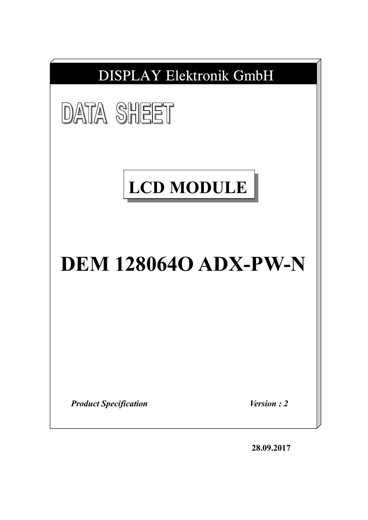

**28.09.2017**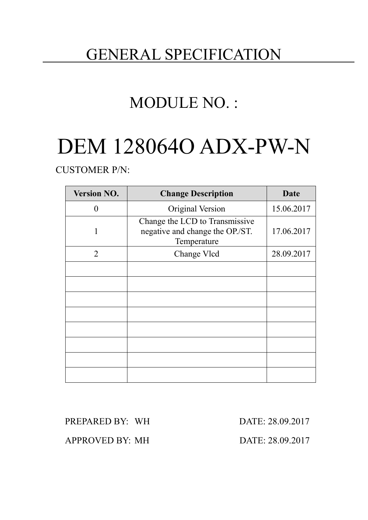# GENERAL SPECIFICATION

# MODULE NO. :

# DEM 128064O ADX-PW-N

CUSTOMER P/N:

| <b>Version NO.</b> | <b>Change Description</b>                                                        | Date       |
|--------------------|----------------------------------------------------------------------------------|------------|
| 0                  | Original Version                                                                 | 15.06.2017 |
|                    | Change the LCD to Transmissive<br>negative and change the OP./ST.<br>Temperature | 17.06.2017 |
| $\overline{2}$     | Change Vlcd                                                                      | 28.09.2017 |
|                    |                                                                                  |            |
|                    |                                                                                  |            |
|                    |                                                                                  |            |
|                    |                                                                                  |            |
|                    |                                                                                  |            |
|                    |                                                                                  |            |
|                    |                                                                                  |            |
|                    |                                                                                  |            |

PREPARED BY: WH DATE: 28.09.2017

APPROVED BY: MH DATE: 28.09.2017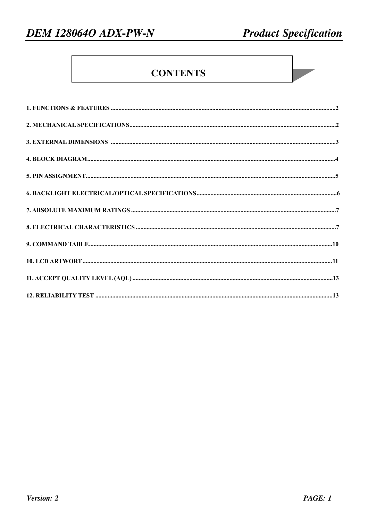# **CONTENTS**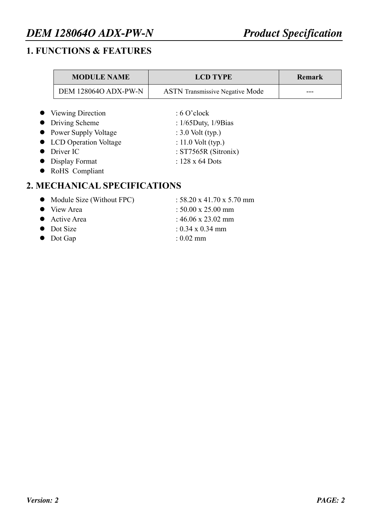# *DEM 128064O ADX-PW-N Product Specification*

#### **1. FUNCTIONS & FEATURES**

| <b>MODULE NAME</b>                    | <b>LCD TYPE</b>                          | <b>Remark</b> |
|---------------------------------------|------------------------------------------|---------------|
| <b>DEM 128064O ADX-PW-N</b>           | <b>ASTN</b> Transmissive Negative Mode   |               |
|                                       |                                          |               |
| • Viewing Direction<br>Driving Scheme | : 6 O'clock<br>: $1/65$ Duty, $1/9$ Bias |               |
| • Power Supply Voltage                | : $3.0$ Volt (typ.)                      |               |
| • LCD Operation Voltage               | : 11.0 Volt $(typ.)$                     |               |
| Driver IC                             | : $ST7565R$ (Sitronix)                   |               |
| $\bullet$ Display Format              | : $128 \times 64$ Dots                   |               |
| RoHS Compliant                        |                                          |               |

## **2. MECHANICAL SPECIFICATIONS**

| • Module Size (Without FPC) | : $58.20 \times 41.70 \times 5.70$ mm |
|-----------------------------|---------------------------------------|
| • View Area                 | : $50.00 \times 25.00 \text{ mm}$     |
| • Active Area               | : $46.06 \times 23.02 \text{ mm}$     |
| • Dot Size                  | $: 0.34 \times 0.34$ mm               |
| $\bullet$ Dot Gap           | $: 0.02$ mm                           |
|                             |                                       |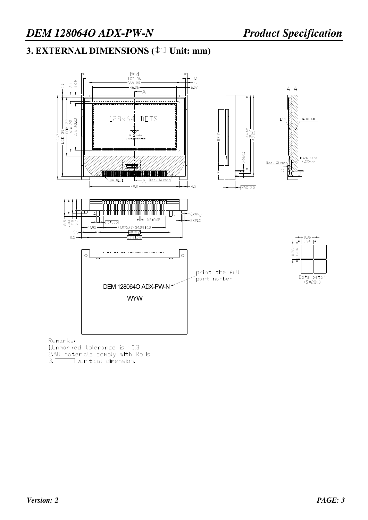# **3. EXTERNAL DIMENSIONS (** $\oplus\oplus$  **Unit: mm)**



Remarks:

1.Unmarked tolerance is ±0.3 2.All materials comply with RoHs<br>3. \_\_\_\_\_\_\_\_ ...:critical dimension.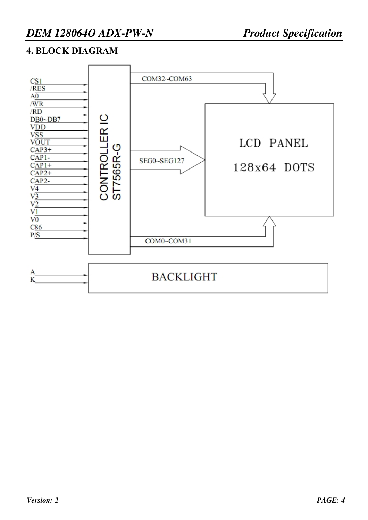#### **4. BLOCK DIAGRAM**

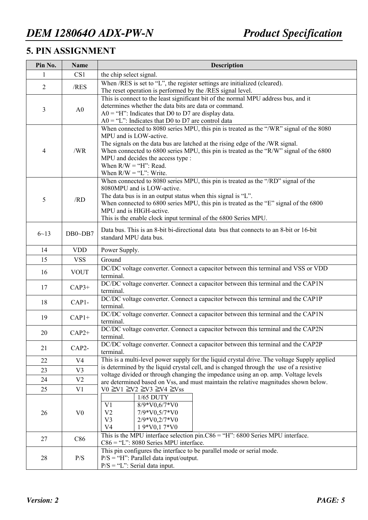#### **5. PIN ASSIGNMENT**

| Pin No.        | <b>Name</b>    | <b>Description</b>                                                                                                                                                                                                                                                                                                                                                                        |  |  |  |  |  |  |
|----------------|----------------|-------------------------------------------------------------------------------------------------------------------------------------------------------------------------------------------------------------------------------------------------------------------------------------------------------------------------------------------------------------------------------------------|--|--|--|--|--|--|
| 1              | CS1            | the chip select signal.                                                                                                                                                                                                                                                                                                                                                                   |  |  |  |  |  |  |
| $\overline{2}$ | /RES           | When /RES is set to "L", the register settings are initialized (cleared).<br>The reset operation is performed by the /RES signal level.                                                                                                                                                                                                                                                   |  |  |  |  |  |  |
| $\mathfrak{Z}$ | A <sub>0</sub> | This is connect to the least significant bit of the normal MPU address bus, and it<br>determines whether the data bits are data or command.<br>$AO = "H"$ : Indicates that D0 to D7 are display data.<br>$A0 = "L"$ : Indicates that D0 to D7 are control data                                                                                                                            |  |  |  |  |  |  |
| $\overline{4}$ | /WR            | When connected to 8080 series MPU, this pin is treated as the "/WR" signal of the 8080<br>MPU and is LOW-active.<br>The signals on the data bus are latched at the rising edge of the /WR signal.<br>When connected to 6800 series MPU, this pin is treated as the "R/W" signal of the 6800<br>MPU and decides the access type :<br>When $R/W = "H"$ : Read.<br>When $R/W = "L"$ : Write. |  |  |  |  |  |  |
| 5              | /RD            | When connected to 8080 series MPU, this pin is treated as the "/RD" signal of the<br>8080MPU and is LOW-active.<br>The data bus is in an output status when this signal is "L".<br>When connected to 6800 series MPU, this pin is treated as the "E" signal of the 6800<br>MPU and is HIGH-active.<br>This is the enable clock input terminal of the 6800 Series MPU.                     |  |  |  |  |  |  |
| $6 - 13$       | $DB0\neg DB7$  | Data bus. This is an 8-bit bi-directional data bus that connects to an 8-bit or 16-bit<br>standard MPU data bus.                                                                                                                                                                                                                                                                          |  |  |  |  |  |  |
| 14             | <b>VDD</b>     | Power Supply.                                                                                                                                                                                                                                                                                                                                                                             |  |  |  |  |  |  |
| 15             | <b>VSS</b>     | Ground                                                                                                                                                                                                                                                                                                                                                                                    |  |  |  |  |  |  |
| 16             | <b>VOUT</b>    | DC/DC voltage converter. Connect a capacitor between this terminal and VSS or VDD<br>terminal.                                                                                                                                                                                                                                                                                            |  |  |  |  |  |  |
| 17             | $CAP3+$        | DC/DC voltage converter. Connect a capacitor between this terminal and the CAP1N<br>terminal.                                                                                                                                                                                                                                                                                             |  |  |  |  |  |  |
| 18             | $CAP1-$        | DC/DC voltage converter. Connect a capacitor between this terminal and the CAP1P<br>terminal.                                                                                                                                                                                                                                                                                             |  |  |  |  |  |  |
| 19             | $CAP1+$        | DC/DC voltage converter. Connect a capacitor between this terminal and the CAP1N<br>terminal.                                                                                                                                                                                                                                                                                             |  |  |  |  |  |  |
| 20             | $CAP2+$        | DC/DC voltage converter. Connect a capacitor between this terminal and the CAP2N<br>terminal.                                                                                                                                                                                                                                                                                             |  |  |  |  |  |  |
| 21             | CAP2-          | DC/DC voltage converter. Connect a capacitor between this terminal and the CAP2P<br>terminal.                                                                                                                                                                                                                                                                                             |  |  |  |  |  |  |
| 22             | V <sub>4</sub> | This is a multi-level power supply for the liquid crystal drive. The voltage Supply applied                                                                                                                                                                                                                                                                                               |  |  |  |  |  |  |
| 23             | V <sub>3</sub> | is determined by the liquid crystal cell, and is changed through the use of a resistive                                                                                                                                                                                                                                                                                                   |  |  |  |  |  |  |
| 24             | V <sub>2</sub> | voltage divided or through changing the impedance using an op. amp. Voltage levels                                                                                                                                                                                                                                                                                                        |  |  |  |  |  |  |
| 25             | V1             | are determined based on Vss, and must maintain the relative magnitudes shown below.<br>$V0 \geq V1 \geq V2 \geq V3 \geq V4 \geq Vss$                                                                                                                                                                                                                                                      |  |  |  |  |  |  |
| 26             | V <sub>0</sub> | 1/65 DUTY<br>$8/9*V0,6/7*V0$<br>V1<br>7/9*V0,5/7*V0<br>V <sub>2</sub><br>2/9*V0,2/7*V0<br>V <sub>3</sub><br>V <sub>4</sub><br>19*V0,17*V0                                                                                                                                                                                                                                                 |  |  |  |  |  |  |
| 27             | C86            | This is the MPU interface selection $pin.C86 = "H": 6800$ Series MPU interface.<br>$C86 = "L"$ : 8080 Series MPU interface.                                                                                                                                                                                                                                                               |  |  |  |  |  |  |
| 28             | P/S            | This pin configures the interface to be parallel mode or serial mode.<br>$P/S = "H"$ : Parallel data input/output.<br>$P/S = "L"$ : Serial data input.                                                                                                                                                                                                                                    |  |  |  |  |  |  |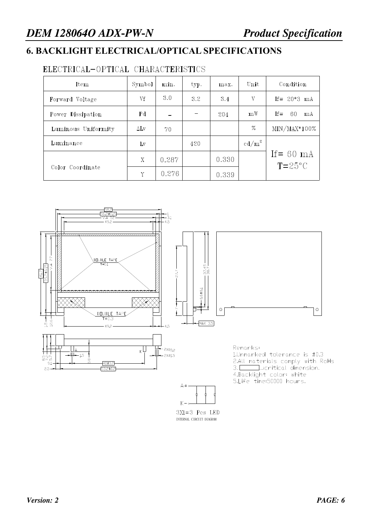#### **6. BACKLIGHT ELECTRICAL/OPTICAL SPECIFICATIONS**

#### ELECTRICAL-OPTICAL CHARACTERISTICS

| Item                | Symbol      | min.  | typ. | max.  | Unit              | Condition                         |
|---------------------|-------------|-------|------|-------|-------------------|-----------------------------------|
| Forward Voltage     | Vf          | 3.0   | 3.2  | 3.4   | V                 | If = $20*3$ mA                    |
| Power Dissipation   | Pd          |       |      | 204   | mW                | $If =$<br>-60<br>mA               |
| Luminous Uniformity | $\Delta$ Lv | 70    |      |       | $\%$              | $MIN/MAX*100%$                    |
| Luminance           | Lv          |       | 420  |       | cd/m <sup>2</sup> |                                   |
| Color Coordinate    | X           | 0.287 |      | 0.330 |                   | If $= 60$ mA<br>$T = 25^{\circ}C$ |
|                     | Y           | 0.276 |      | 0.339 |                   |                                   |

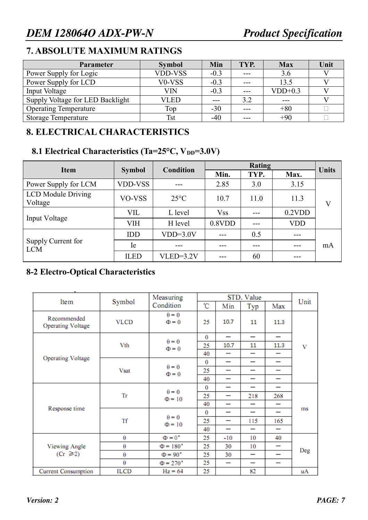### **7. ABSOLUTE MAXIMUM RATINGS**

| <b>Parameter</b>                 | <b>Symbol</b>                   | Min    | TYP.  | <b>Max</b> | Unit |
|----------------------------------|---------------------------------|--------|-------|------------|------|
| Power Supply for Logic           | <b>VDD-VSS</b>                  | $-0.3$ | $---$ | 3.6        |      |
| Power Supply for LCD             | V <sub>0</sub> -V <sub>SS</sub> | $-0.3$ | $---$ | 13.5       |      |
| Input Voltage                    | VIN                             | $-0.3$ | ---   | $VDD+0.3$  |      |
| Supply Voltage for LED Backlight | <b>VLED</b>                     |        | 3.2   |            |      |
| <b>Operating Temperature</b>     | Top                             | $-30$  | ---   | $+80$      |      |
| <b>Storage Temperature</b>       | <b>Tst</b>                      | $-40$  | ---   | $+90$      |      |

#### **8. ELECTRICAL CHARACTERISTICS**

#### 8.1 Electrical Characteristics (Ta=25°C, V<sub>DD</sub>=3.0V)

| <b>Item</b>                          |                | <b>Condition</b> |            | <b>Units</b> |            |         |  |
|--------------------------------------|----------------|------------------|------------|--------------|------------|---------|--|
|                                      | <b>Symbol</b>  |                  | Min.       | TYP.         | Max.       |         |  |
| Power Supply for LCM                 | <b>VDD-VSS</b> | ---              | 2.85       | 3.0          | 3.15       |         |  |
| <b>LCD</b> Module Driving<br>Voltage | VO-VSS         | $25^{\circ}$ C   | 10.7       | 11.0         | 11.3       | $\rm V$ |  |
| Input Voltage                        | VIL            | L level          | <b>Vss</b> |              | $0.2$ VDD  |         |  |
|                                      | <b>VIH</b>     | H level          | 0.8VDD     |              | <b>VDD</b> |         |  |
| Supply Current for<br><b>LCM</b>     | <b>IDD</b>     | $VDD=3.0V$       |            | 0.5          | ---        |         |  |
|                                      | Ie             | ---              |            | ---          | ---        | mA      |  |
|                                      | <b>ILED</b>    | $VLED=3.2V$      |            | 60           |            |         |  |

## **8-2 Electro-Optical Characteristics**

|                                         |             | Measuring                   |          |                          |                          |                          |      |  |
|-----------------------------------------|-------------|-----------------------------|----------|--------------------------|--------------------------|--------------------------|------|--|
| Item                                    | Symbol      | Condition                   | °C       | Min                      | Typ                      | Max                      | Unit |  |
| Recommended<br><b>Operating Voltage</b> | <b>VLCD</b> | $\theta = 0$<br>$\Phi = 0$  | 25       | 10.7                     | 11                       | 11.3                     |      |  |
| <b>Operating Voltage</b>                |             | $\theta = 0$                | $\bf{0}$ | —                        | —                        | -                        |      |  |
|                                         | Vth         | $\Phi = 0$                  | 25       | 10.7                     | 11                       | 11.3                     | V    |  |
|                                         |             |                             | 40       | —                        | —                        |                          |      |  |
|                                         |             | $\theta = 0$                | $\bf{0}$ | -                        | -                        | -                        |      |  |
|                                         | <b>Vsat</b> | $\Phi = 0$                  | 25       | $\overline{\phantom{0}}$ | -                        | -                        |      |  |
|                                         |             |                             | 40       | -                        | -                        | -                        |      |  |
|                                         | Tr          | $\theta = 0$<br>$\Phi = 10$ | 0        | $\overline{\phantom{0}}$ | —                        | -                        | ms   |  |
|                                         |             |                             | 25       | -                        | 218                      | 268                      |      |  |
| Response time                           |             |                             | 40       | —                        | -                        | -                        |      |  |
|                                         |             | $\theta = 0$<br>$\Phi$ = 10 | $\bf{0}$ | $\overline{\phantom{0}}$ | —                        | $\overline{\phantom{0}}$ |      |  |
|                                         | Tf          |                             | 25       | -                        | 115                      | 165                      |      |  |
|                                         |             |                             | 40       | $\overline{\phantom{0}}$ | $\overline{\phantom{0}}$ |                          |      |  |
|                                         | θ           | $\Phi = 0^{\circ}$          | 25       | $-10$                    | 10                       | 40                       |      |  |
| <b>Viewing Angle</b>                    | θ           | $\Phi$ = 180 $\degree$      | 25       | 30                       | 10                       | $\overline{\phantom{0}}$ |      |  |
| $(Cr \ge 2)$                            | θ           | $\Phi = 90^\circ$           | 25       | 30                       | —                        | -                        | Deg  |  |
|                                         | θ           | $\Phi = 270^\circ$          | 25       | $\overline{\phantom{0}}$ | —                        | -                        |      |  |
| <b>Current Consumption</b>              | <b>ILCD</b> | $Hz = 64$                   | 25       |                          | 82                       |                          | uA   |  |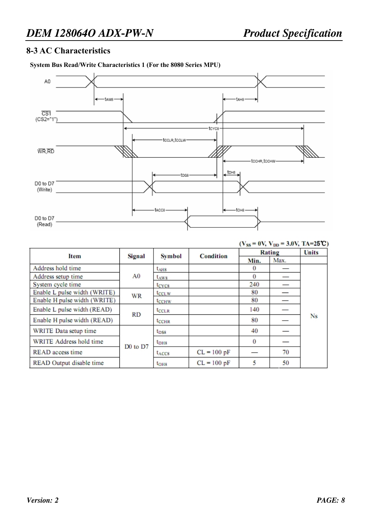#### **8-3 AC Characteristics**

#### **System Bus Read/Write Characteristics 1 (For the 8080 Series MPU)**



| $V \rightarrow V$<br>$\mathbf{v} \mathbf{v}$ is a subset |                                  |                    |               |          |              |           |  |  |  |
|----------------------------------------------------------|----------------------------------|--------------------|---------------|----------|--------------|-----------|--|--|--|
| <b>Item</b>                                              | Signal                           | <b>Symbol</b>      | Condition     | Rating   | <b>Units</b> |           |  |  |  |
|                                                          |                                  |                    |               | Min.     | Max.         |           |  |  |  |
| Address hold time                                        |                                  | $tA$ <sub>H8</sub> |               | $\bf{0}$ |              |           |  |  |  |
| Address setup time                                       | A <sub>0</sub>                   | $t_{\rm AW8}$      |               | $\bf{0}$ |              |           |  |  |  |
| System cycle time                                        |                                  | t <sub>CYC8</sub>  |               | 240      |              |           |  |  |  |
| Enable L pulse width (WRITE)                             | <b>WR</b>                        | t <sub>CCLW</sub>  |               | 80       |              |           |  |  |  |
| Enable H pulse width (WRITE)                             |                                  | <b>LCCHW</b>       |               | 80       |              |           |  |  |  |
| Enable L pulse width (READ)                              | RD                               | <b>LCCLR</b>       |               | 140      |              |           |  |  |  |
| Enable H pulse width (READ)                              |                                  | <b>LOCHR</b>       |               | 80       |              | <b>Ns</b> |  |  |  |
| WRITE Data setup time                                    |                                  | $t_{\rm DSS}$      |               | 40       |              |           |  |  |  |
| WRITE Address hold time                                  |                                  | $t_{\rm DH8}$      |               | $\bf{0}$ |              |           |  |  |  |
| READ access time                                         | D <sub>0</sub> to D <sub>7</sub> | t <sub>ACC8</sub>  | $CL = 100 pF$ |          | 70           |           |  |  |  |
| READ Output disable time                                 |                                  | $t_{OHB}$          | $CL = 100 pF$ | 5        | 50           |           |  |  |  |

#### $(V_{ee} = 0V, V_{pp} = 3.0V, TA = 25^{\circ}C)$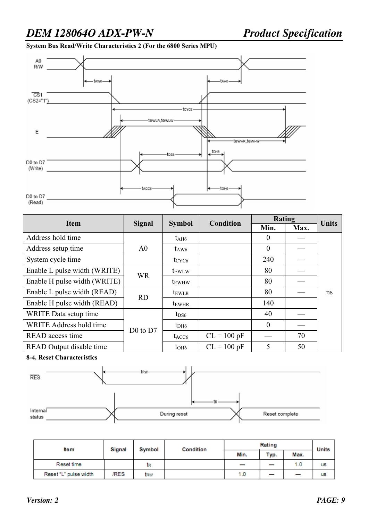**System Bus Read/Write Characteristics 2 (For the 6800 Series MPU)** 



| <b>Item</b>                     |                |                          | Condition     | Rating   | <b>Units</b> |    |
|---------------------------------|----------------|--------------------------|---------------|----------|--------------|----|
|                                 | <b>Signal</b>  | <b>Symbol</b>            |               | Min.     | Max.         |    |
| Address hold time               |                | $t_{\rm AH6}$            |               | 0        |              |    |
| Address setup time              | A <sub>0</sub> | $t_{\rm AW6}$            |               | $\theta$ |              |    |
| System cycle time               |                | $t_{CYC6}$               |               | 240      |              |    |
| Enable L pulse width (WRITE)    | <b>WR</b>      | t <sub>EWLW</sub>        |               | 80       |              |    |
| Enable H pulse width (WRITE)    |                | t <sub>EWHW</sub>        |               | 80       |              |    |
| Enable L pulse width (READ)     | <b>RD</b>      | tewlr                    |               | 80       |              | ns |
| Enable H pulse width (READ)     |                | <b>t</b> <sub>EWHR</sub> |               | 140      |              |    |
| WRITE Data setup time           |                | $t_{DS6}$                |               | 40       |              |    |
| WRITE Address hold time         | $D0$ to $D7$   | t <sub>DH6</sub>         |               | $\theta$ |              |    |
| READ access time                |                | t <sub>ACC6</sub>        | $CL = 100 pF$ |          | 70           |    |
| <b>READ</b> Output disable time |                | $t$ OH <sub>6</sub>      | $CL = 100 pF$ | 5        | 50           |    |

**8-4. Reset Characteristics** 



| <b>tem</b>            | Signal | Symbol | Condition | Rating | <b>Units</b> |      |           |
|-----------------------|--------|--------|-----------|--------|--------------|------|-----------|
|                       |        |        |           | Min.   | Typ.         | Max. |           |
| Reset time            |        | tR     |           |        |              | 1.0  | <b>US</b> |
| Reset "L" pulse width | /RES   | trw    |           | 1.0    | –            | –    | <b>US</b> |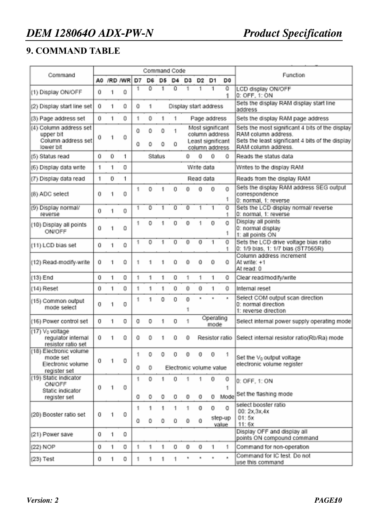#### **9. COMMAND TABLE**

|                                                                         | Command Code |             |              |         |                     |               |                         |               |                                                      |                   |                      |                                                                                                                                                   |
|-------------------------------------------------------------------------|--------------|-------------|--------------|---------|---------------------|---------------|-------------------------|---------------|------------------------------------------------------|-------------------|----------------------|---------------------------------------------------------------------------------------------------------------------------------------------------|
| Command                                                                 |              |             | A0 /RD /WR   | D7      | DG.                 | D5.           | D4.                     | D3.           | D2                                                   | 01                | D <sub>0</sub>       | Function                                                                                                                                          |
| (1) Display ON/OFF                                                      | 0.           | 1           | 0            | 1.      | n                   | 1.            | $\overline{0}$          | 1             | 1                                                    | 1                 | $\overline{0}$<br>1  | LCD display ON/OFF<br>0: OFF, 1: ON                                                                                                               |
| (2) Display start line set                                              | 0.           | 1           | 0.           | 0       | 1                   |               | Display start address   |               |                                                      |                   |                      | Sets the display RAM display start line<br>address                                                                                                |
| (3) Page address set                                                    | 0.           | 1           | 0            | 1.      | $\bf 0$             | 1.            | 1.                      |               | Page address                                         |                   |                      | Sets the display RAM page address                                                                                                                 |
| (4) Column address set<br>upper bit.<br>Column address set<br>lower hit | 0.           | 1           | 0.           | 0<br>0. | $\Omega$<br>٥       | $\theta$<br>٥ | 1.<br>0                 |               | Most significant<br>column address<br>column address |                   | Least significant    | Sets the most significant 4 bits of the display<br>RAM column address.<br>Sets the least significant 4 bits of the display<br>RAM column address. |
| (5) Status read                                                         | 0.           | 0           | 1.           |         |                     | Status        |                         | Ω.            | 0.                                                   | 0.                | $\Omega$             | Reads the status data                                                                                                                             |
| (6) Display data write                                                  | 1            | 1           | $\mathbb{O}$ |         |                     |               |                         |               | Write data                                           |                   |                      | Writes to the display RAM                                                                                                                         |
| (7) Display data read                                                   | 1            | $\mathbf 0$ | 1.           |         |                     |               |                         |               | Read data                                            |                   |                      | Reads from the display RAM                                                                                                                        |
| (8) ADC select                                                          | Ō.           | 1           | 0            | 1.      | $\ddot{\mathbf{0}}$ | 1             | 0                       | 0             | 0                                                    | 0.                | 0.<br>1.             | Sets the display RAM address SEG output<br>correspondence<br>0: normal, 1: reverse                                                                |
| (9) Display normal/<br>reverse                                          | Ō.           | 1           | 0            | 1.      | $\overline{O}$      | 1             | 0                       | 0             | 1                                                    | 1                 | $\overline{0}$<br>1. | Sets the LCD display normal/ reverse<br>0: normal, 1: reverse                                                                                     |
| (10) Display all points<br>ON/OFF                                       | O.           | 1           | 0.           | 1.      | $\circ$             | 1             | 0                       | 0.            | 1                                                    | 0                 | $\Omega$<br>1.       | Display all points<br>0: normal display<br>1: all points ON                                                                                       |
| (11) LCD bias set                                                       | 0.           | 1           | 0            | 1.      | $\circ$             | 1             | α                       | $\Omega$      | 0.                                                   | 1                 | $\overline{0}$<br>1. | Sets the LCD drive voltage blas ratio<br>0: 1/9 blas, 1: 1/7 blas (ST7565R)                                                                       |
| (12) Read-modify-write                                                  | 0.           | 1           | $\mathbf 0$  | 1.      | 1                   | 1             | o                       | 0             | 0                                                    | 0                 | Ω.                   | Column address increment<br>At write: +1<br>At read: 0                                                                                            |
| $(13)$ End                                                              | 0.           | 1.          | 0.           | 1.      | 1                   | 1.            | 0.                      | 1             | 1                                                    | 1                 | 0.                   | Clear read/modify/write                                                                                                                           |
| (14) Reset                                                              | 0            | 1           | Û            | 1.      | 1                   | 1.            | 0                       | 0             | 0                                                    | 1                 | 0.                   | Internal reset                                                                                                                                    |
| (15) Common output<br>mode select                                       | 0            | 1           | 0            | 1.      | 1                   | 0             | 0                       | $\Omega$<br>1 | $\mathbf{a}_1$                                       | à.                | a.                   | Select COM output scan direction<br>0: normal direction<br>1: reverse direction                                                                   |
| (16) Power control set                                                  | $\mathbf 0$  | 1           | $\mathbb{O}$ | 0.      | $\circ$             | 1             | $\circ$                 | 1             |                                                      | Operating<br>mode |                      | Select internal power supply operating mode                                                                                                       |
| (17) V <sub>0</sub> voltage<br>regulator internal<br>resistor ratio set | θ.           | -11         | n.           | Ю.,     |                     |               |                         |               |                                                      |                   |                      | 0 1 0 0 Resistor ratio Select internal resistor ratio(Rb/Ra) mode                                                                                 |
| (18) Electronic volume<br>mode set<br>Electronic volume                 | 0.           | 1.          | 0.           | 1.      | 0                   | 0.            | $\mathbf 0$             | $\circ$       | 0.                                                   | Ο.                | -11                  | Set the V <sub>0</sub> output voltage<br>electronic volume register                                                                               |
| register set                                                            |              |             |              | 0.      | $\circ$             |               | Electronic volume value |               |                                                      |                   |                      |                                                                                                                                                   |
| (19) Static Indicator<br>ON/OFF.<br>Static indicator                    | 0.           | П.          | 0.           | 1.      | $\circ$             | 1.            | o                       | 1             | 1.                                                   | 0.                | 0.<br>1.             | 0: OFF, 1: ON                                                                                                                                     |
| register set                                                            |              |             |              | 0.      | 0                   | 0.            | 0.                      | 0             | 0.                                                   |                   | 0 Mode               | Set the flashing mode                                                                                                                             |
| (20) Booster ratio set                                                  | 0.           | 1.          | 0.           | 1.      | 1                   | 1.            | 1                       | 1             | $\mathbf 0$                                          | 0                 | $\mathbf 0$          | select booster ratio<br>00; 2x.3x.4x                                                                                                              |
|                                                                         |              |             |              | 0.      | $\bullet$           | $\circ$       | 0.                      | $\bf{0}$      | 0                                                    |                   | step-up<br>value.    | 01:5x<br>11:6x                                                                                                                                    |
| (21) Power save                                                         | 0.           | 1.          | 0.           |         |                     |               |                         |               |                                                      |                   |                      | Display OFF and display all<br>points ON compound command                                                                                         |
| (22) NOP                                                                | 0            | п.          | 0.           | 1.      | 1                   | 1             | 0                       | $\bf 0$       | 0.                                                   | $\mathcal{A}$     | 1.                   | Command for non-operation                                                                                                                         |
| $(23)$ Test                                                             | 0.           | 1.          | 0            | 1.      | 1                   | 1.            | 1.                      | ۲             | $\alpha$                                             | a,                | a.                   | Command for IC test. Do not<br>use this command                                                                                                   |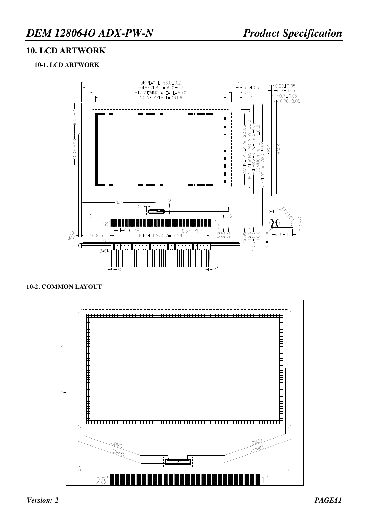#### **10. LCD ARTWORK**

#### **10-1. LCD ARTWORK**



#### **10-2. COMMON LAYOUT**

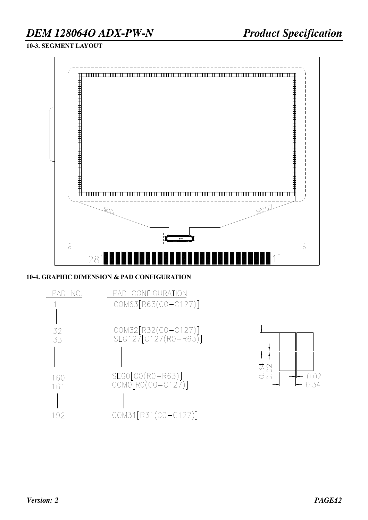# *DEM 128064O ADX-PW-N Product Specification*

**10-3. SEGMENT LAYOUT** 



#### **10-4. GRAPHIC DIMENSION & PAD CONFIGURATION**